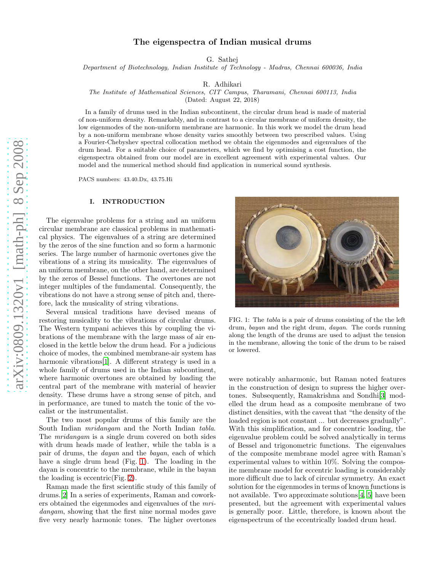# The eigenspectra of Indian musical drums

G. Sathej

Department of Biotechnology, Indian Institute of Technology - Madras, Chennai 600036, India

R. Adhikari

The Institute of Mathematical Sciences, CIT Campus, Tharamani, Chennai 600113, India

(Dated: August 22, 2018)

In a family of drums used in the Indian subcontinent, the circular drum head is made of material of non-uniform density. Remarkably, and in contrast to a circular membrane of uniform density, the low eigenmodes of the non-uniform membrane are harmonic. In this work we model the drum head by a non-uniform membrane whose density varies smoothly between two prescribed values. Using a Fourier-Chebyshev spectral collocation method we obtain the eigenmodes and eigenvalues of the drum head. For a suitable choice of parameters, which we find by optimising a cost function, the eigenspectra obtained from our model are in excellent agreement with experimental values. Our model and the numerical method should find application in numerical sound synthesis.

PACS numbers: 43.40.Dx, 43.75.Hi

# I. INTRODUCTION

The eigenvalue problems for a string and an uniform circular membrane are classical problems in mathematical physics. The eigenvalues of a string are determined by the zeros of the sine function and so form a harmonic series. The large number of harmonic overtones give the vibrations of a string its musicality. The eigenvalues of an uniform membrane, on the other hand, are determined by the zeros of Bessel functions. The overtones are not integer multiples of the fundamental. Consequently, the vibrations do not have a strong sense of pitch and, therefore, lack the musicality of string vibrations.

Several musical traditions have devised means of restoring musicality to the vibrations of circular drums. The Western tympani achieves this by coupling the vibrations of the membrane with the large mass of air enclosed in the kettle below the drum head. For a judicious choice of modes, the combined membrane-air system has harmonic vibrations<sup>[\[1](#page-9-0)]</sup>. A different strategy is used in a whole family of drums used in the Indian subcontinent, where harmonic overtones are obtained by loading the central part of the membrane with material of heavier density. These drums have a strong sense of pitch, and in performance, are tuned to match the tonic of the vocalist or the instrumentalist.

The two most popular drums of this family are the South Indian *mridangam* and the North Indian tabla. The mridangam is a single drum covered on both sides with drum heads made of leather, while the tabla is a pair of drums, the dayan and the bayan, each of which have a single drum head (Fig. [1\)](#page-0-0). The loading in the dayan is concentric to the membrane, while in the bayan the loading is eccentric(Fig. [2\)](#page-1-0).

Raman made the first scientific study of this family of drums.[\[2\]](#page-9-1) In a series of experiments, Raman and coworkers obtained the eigenmodes and eigenvalues of the mridangam, showing that the first nine normal modes gave five very nearly harmonic tones. The higher overtones

<span id="page-0-0"></span>FIG. 1: The tabla is a pair of drums consisting of the the left drum, bayan and the right drum, dayan. The cords running along the length of the drums are used to adjust the tension in the membrane, allowing the tonic of the drum to be raised or lowered.

were noticably anharmonic, but Raman noted features in the construction of design to supress the higher overtones. Subsequently, Ramakrishna and Sondhi[\[3\]](#page-9-2) modelled the drum head as a composite membrane of two distinct densities, with the caveat that "the density of the loaded region is not constant ... but decreases gradually". With this simplification, and for concentric loading, the eigenvalue problem could be solved analytically in terms of Bessel and trigonometric functions. The eigenvalues of the composite membrane model agree with Raman's experimental values to within 10%. Solving the composite membrane model for eccentric loading is considerably more difficult due to lack of circular symmetry. An exact solution for the eigenmodes in terms of known functions is not available. Two approximate solutions[\[4,](#page-9-3) [5](#page-9-4)] have been presented, but the agreement with experimental values is generally poor. Little, therefore, is known about the eigenspectrum of the eccentrically loaded drum head.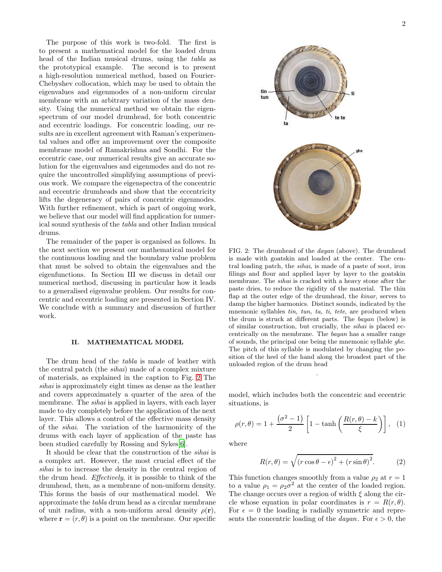The purpose of this work is two-fold. The first is to present a mathematical model for the loaded drum head of the Indian musical drums, using the tabla as the prototypical example. The second is to present a high-resolution numerical method, based on Fourier-Chebyshev collocation, which may be used to obtain the eigenvalues and eigenmodes of a non-uniform circular membrane with an arbitrary variation of the mass density. Using the numerical method we obtain the eigenspectrum of our model drumhead, for both concentric and eccentric loadings. For concentric loading, our results are in excellent agreement with Raman's experimental values and offer an improvement over the composite membrane model of Ramakrishna and Sondhi. For the eccentric case, our numerical results give an accurate solution for the eigenvalues and eigenmodes and do not require the uncontrolled simplifying assumptions of previous work. We compare the eigenspectra of the concentric and eccentric drumheads and show that the eccentricity lifts the degeneracy of pairs of concentric eigenmodes. With further refinement, which is part of ongoing work, we believe that our model will find application for numerical sound synthesis of the tabla and other Indian musical drums.

The remainder of the paper is organised as follows. In the next section we present our mathematical model for the continuous loading and the boundary value problem that must be solved to obtain the eigenvalues and the eigenfunctions. In Section III we discuss in detail our numerical method, discussing in particular how it leads to a generalised eigenvalue problem. Our results for concentric and eccentric loading are presented in Section IV. We conclude with a summary and discussion of further work.

#### II. MATHEMATICAL MODEL

The drum head of the tabla is made of leather with the central patch (the sihai) made of a complex mixture of materials, as explained in the caption to Fig. [2](#page-1-0) The sihai is approximately eight times as dense as the leather and covers approximately a quarter of the area of the membrane. The *sihai* is applied in layers, with each layer made to dry completely before the application of the next layer. This allows a control of the effective mass density of the sihai. The variation of the harmonicity of the drums with each layer of application of the paste has been studied carefully by Rossing and Sykes[\[6\]](#page-9-5).

It should be clear that the construction of the sihai is a complex art. However, the most crucial effect of the sihai is to increase the density in the central region of the drum head. Effectively, it is possible to think of the drumhead, then, as a membrane of non-uniform density. This forms the basis of our mathematical model. We approximate the tabla drum head as a circular membrane of unit radius, with a non-uniform areal density  $\rho(\mathbf{r})$ , where  $\mathbf{r} = (r, \theta)$  is a point on the membrane. Our specific



<span id="page-1-0"></span>FIG. 2: The drumhead of the dayan (above). The drumhead is made with goatskin and loaded at the center. The central loading patch, the sihai, is made of a paste of soot, iron filings and flour and applied layer by layer to the goatskin membrane. The sihai is cracked with a heavy stone after the paste dries, to reduce the rigidity of the material. The thin flap at the outer edge of the drumhead, the kinar, serves to damp the higher harmonics. Distinct sounds, indicated by the mnemonic syllables tin, tun, ta, ti, tete, are produced when the drum is struck at different parts. The bayan (below) is of similar construction, but crucially, the sihai is placed eccentrically on the membrane. The bayan has a smaller range of sounds, the principal one being the mnemonic syllable ghe. The pitch of this syllable is modulated by changing the position of the heel of the hand along the broadest part of the unloaded region of the drum head

model, which includes both the concentric and eccentric situations, is

.

$$
\rho(r,\theta) = 1 + \frac{\left(\sigma^2 - 1\right)}{2} \left[ 1 - \tanh\left(\frac{R(r,\theta) - k}{\xi}\right) \right], \quad (1)
$$

where

$$
R(r,\theta) = \sqrt{(r\cos\theta - \epsilon)^2 + (r\sin\theta)^2}.
$$
 (2)

This function changes smoothly from a value  $\rho_2$  at  $r = 1$ to a value  $\rho_1 = \rho_2 \sigma^2$  at the center of the loaded region. The change occurs over a region of width  $\xi$  along the circle whose equation in polar coordinates is  $r = R(r, \theta)$ . For  $\epsilon = 0$  the loading is radially symmetric and represents the concentric loading of the *dayan*. For  $\epsilon > 0$ , the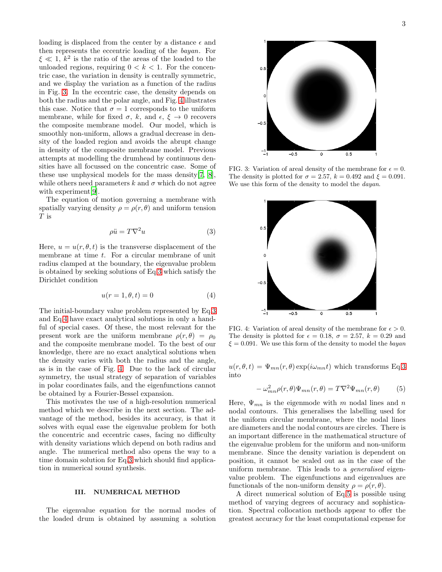loading is displaced from the center by a distance  $\epsilon$  and then represents the eccentric loading of the bayan. For  $\xi \ll 1, k^2$  is the ratio of the areas of the loaded to the unloaded regions, requiring  $0 < k < 1$ . For the concentric case, the variation in density is centrally symmetric, and we display the variation as a function of the radius in Fig. [3.](#page-2-0) In the eccentric case, the density depends on both the radius and the polar angle, and Fig. [4](#page-2-1) illustrates this case. Notice that  $\sigma = 1$  corresponds to the uniform membrane, while for fixed  $\sigma$ , k, and  $\epsilon$ ,  $\xi \rightarrow 0$  recovers the composite membrane model. Our model, which is smoothly non-uniform, allows a gradual decrease in density of the loaded region and avoids the abrupt change in density of the composite membrane model. Previous attempts at modelling the drumhead by continuous densities have all focussed on the concentric case. Some of these use unphysical models for the mass density[\[7,](#page-9-6) [8\]](#page-9-7), while others need parameters k and  $\sigma$  which do not agree with experiment<sup>[\[9\]](#page-9-8)</sup>.

The equation of motion governing a membrane with spatially varying density  $\rho = \rho(r, \theta)$  and uniform tension T is

<span id="page-2-2"></span>
$$
\rho \ddot{u} = T \nabla^2 u \tag{3}
$$

Here,  $u = u(r, \theta, t)$  is the transverse displacement of the membrane at time t. For a circular membrane of unit radius clamped at the boundary, the eigenvalue problem is obtained by seeking solutions of Eq[.3](#page-2-2) which satisfy the Dirichlet condition

<span id="page-2-3"></span>
$$
u(r = 1, \theta, t) = 0 \tag{4}
$$

The initial-boundary value problem represented by Eq[.3](#page-2-2) and Eq[.4](#page-2-3) have exact analytical solutions in only a handful of special cases. Of these, the most relevant for the present work are the uniform membrane  $\rho(r,\theta) = \rho_0$ and the composite membrane model. To the best of our knowledge, there are no exact analytical solutions when the density varies with both the radius and the angle, as is in the case of Fig. [4.](#page-2-1) Due to the lack of circular symmetry, the usual strategy of separation of variables in polar coordinates fails, and the eigenfunctions cannot be obtained by a Fourier-Bessel expansion.

This motivates the use of a high-resolution numerical method which we describe in the next section. The advantage of the method, besides its accuracy, is that it solves with equal ease the eigenvalue problem for both the concentric and eccentric cases, facing no difficulty with density variations which depend on both radius and angle. The numerical method also opens the way to a time domain solution for Eq[.3](#page-2-2) which should find application in numerical sound synthesis.

#### III. NUMERICAL METHOD

The eigenvalue equation for the normal modes of the loaded drum is obtained by assuming a solution



FIG. 3: Variation of areal density of the membrane for  $\epsilon = 0$ . The density is plotted for  $\sigma = 2.57$ ,  $k = 0.492$  and  $\xi = 0.091$ . We use this form of the density to model the *dayan*.

<span id="page-2-0"></span>

<span id="page-2-1"></span>FIG. 4: Variation of areal density of the membrane for  $\epsilon > 0$ . The density is plotted for  $\epsilon = 0.18$ ,  $\sigma = 2.57$ ,  $k = 0.29$  and  $\xi = 0.091$ . We use this form of the density to model the bayan

 $u(r, \theta, t) = \Psi_{mn}(r, \theta) \exp(i\omega_{mn}t)$  which transforms Eq[.3](#page-2-2) into

<span id="page-2-4"></span>
$$
-\omega_{mn}^2 \rho(r,\theta)\Psi_{mn}(r,\theta) = T\nabla^2 \Psi_{mn}(r,\theta) \tag{5}
$$

Here,  $\Psi_{mn}$  is the eigenmode with m nodal lines and n nodal contours. This generalises the labelling used for the uniform circular membrane, where the nodal lines are diameters and the nodal contours are circles. There is an important difference in the mathematical structure of the eigenvalue problem for the uniform and non-uniform membrane. Since the density variation is dependent on position, it cannot be scaled out as in the case of the uniform membrane. This leads to a generalised eigenvalue problem. The eigenfunctions and eigenvalues are functionals of the non-uniform density  $\rho = \rho(r, \theta)$ .

A direct numerical solution of Eq[.5](#page-2-4) is possible using method of varying degrees of accuracy and sophistication. Spectral collocation methods appear to offer the greatest accuracy for the least computational expense for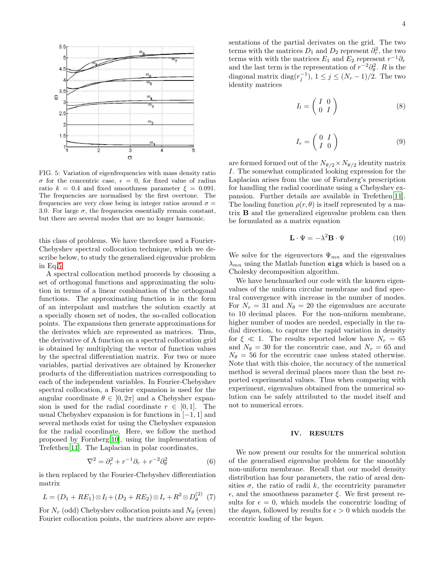

<span id="page-3-0"></span>FIG. 5: Variation of eigenfrequencies with mass density ratio σ for the concentric case,  $\epsilon = 0$ , for fixed value of radius ratio  $k = 0.4$  and fixed smoothness parameter  $\xi = 0.091$ . The frequencies are normalised by the first overtone. The frequencies are very close being in integer ratios around  $\sigma =$ 3.0. For large  $\sigma$ , the frequencies essentially remain constant, but there are several modes that are no longer harmonic.

this class of problems. We have therefore used a Fourier-Chebyshev spectral collocation technique, which we describe below, to study the generalised eigenvalue problem in Eq[.5.](#page-2-4)

A spectral collocation method proceeds by choosing a set of orthogonal functions and approximating the solution in terms of a linear combination of the orthogonal functions. The approximating function is in the form of an interpolant and matches the solution exactly at a specially chosen set of nodes, the so-called collocation points. The expansions then generate approximations for the derivates which are represented as matrices. Thus, the derivative of A function on a spectral collocation grid is obtained by multiplying the vector of function values by the spectral differentiation matrix. For two or more variables, partial derivatives are obtained by Kronecker products of the differentiation matrices corresponding to each of the independent variables. In Fourier-Chebyshev spectral collocation, a Fourier expansion is used for the angular coordinate  $\theta \in [0, 2\pi]$  and a Chebyshev expansion is used for the radial coordinate  $r \in [0,1]$ . The usual Chebyshev expansion is for functions in  $[-1, 1]$  and several methods exist for using the Chebyshev expansion for the radial coordinate. Here, we follow the method proposed by Fornberg[\[10\]](#page-9-9), using the implementation of Trefethen[\[11](#page-9-10)]. The Laplacian in polar coordinates,

$$
\nabla^2 = \partial_r^2 + r^{-1}\partial_r + r^{-2}\partial_\theta^2 \tag{6}
$$

is then replaced by the Fourier-Chebyshev differentiation matrix

$$
L = (D_1 + RE_1) \otimes I_l + (D_2 + RE_2) \otimes I_r + R^2 \otimes D_{\theta}^{(2)} \tag{7}
$$

For  $N_r$  (odd) Chebyshev collocation points and  $N_\theta$  (even) Fourier collocation points, the matrices above are representations of the partial derivates on the grid. The two terms with the matrices  $D_1$  and  $D_2$  represent  $\partial_r^2$ , the two terms with with the matrices  $E_1$  and  $E_2$  represent  $r^{-1}\partial_r$ and the last term is the representation of  $r^{-2}\partial_{\theta}^{2}$ . R is the diagonal matrix diag $(r_j^{-1})$ ,  $1 \leq j \leq (N_r-1)/2$ . The two identity matrices

$$
I_l = \left(\begin{array}{cc} I & 0 \\ 0 & I \end{array}\right) \tag{8}
$$

$$
I_r = \left(\begin{array}{cc} 0 & I \\ I & 0 \end{array}\right) \tag{9}
$$

are formed formed out of the  $N_{\theta/2} \times N_{\theta/2}$  identity matrix I. The somewhat complicated looking expression for the Laplacian arises from the use of Fornberg's prescription for handling the radial coordinate using a Chebyshev expansion. Further details are available in Trefethen[\[11\]](#page-9-10). The loading function  $\rho(r, \theta)$  is itself represented by a matrix B and the generalized eigenvalue problem can then be formulated as a matrix equation

$$
\mathbf{L} \cdot \Psi = -\lambda^2 \mathbf{B} \cdot \Psi \tag{10}
$$

We solve for the eigenvectors  $\Psi_{mn}$  and the eigenvalues  $\lambda_{mn}$  using the Matlab function eigs which is based on a Cholesky decomposition algorithm.

We have benchmarked our code with the known eigenvalues of the uniform circular membrane and find spectral convergence with increase in the number of modes. For  $N_r = 31$  and  $N_\theta = 20$  the eigenvalues are accurate to 10 decimal places. For the non-uniform membrane, higher number of modes are needed, especially in the radial direction, to capture the rapid variation in density for  $\xi \ll 1$ . The results reported below have  $N_r = 65$ and  $N_{\theta} = 30$  for the concentric case, and  $N_r = 65$  and  $N_{\theta} = 56$  for the eccentric case unless stated otherwise. Note that with this choice, the accuracy of the numerical method is several decimal places more than the best reported experimental values. Thus when comparing with experiment, eigenvalues obtained from the numerical solution can be safely attributed to the model itself and not to numerical errors.

#### IV. RESULTS

We now present our results for the numerical solution of the generalised eigenvalue problem for the smoothly non-uniform membrane. Recall that our model density distribution has four parameters, the ratio of areal densities  $\sigma$ , the ratio of radii k, the eccentricity parameter  $ε$ , and the smoothness parameter  $ξ$ . We first present results for  $\epsilon = 0$ , which models the concentric loading of the *dayan*, followed by results for  $\epsilon > 0$  which models the eccentric loading of the bayan.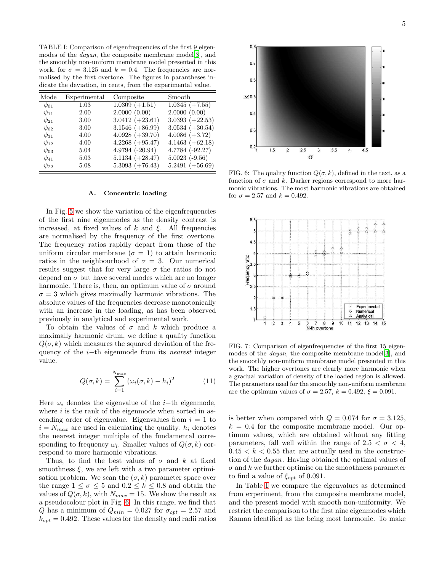<span id="page-4-1"></span>TABLE I: Comparison of eigenfrequencies of the first 9 eigenmodes of the *dayan*, the composite membrane model<sup>[\[3\]](#page-9-2)</sup>, and the smoothly non-uniform membrane model presented in this work, for  $\sigma = 3.125$  and  $k = 0.4$ . The frequencies are normalised by the first overtone. The figures in parantheses indicate the deviation, in cents, from the experimental value.

| Mode        | Experimental | Composite         | Smooth              |
|-------------|--------------|-------------------|---------------------|
| $\psi_{01}$ | 1.03         | $1.0309 (+1.51)$  | $1.0345 (+7.55)$    |
| $\psi_{11}$ | 2.00         | 2.0000(0.00)      | 2.0000(0.00)        |
| $\psi_{21}$ | 3.00         | $3.0412 (+23.61)$ | $3.0393 (+22.53)$   |
| $\psi_{02}$ | 3.00         | $3.1546 (+86.99)$ | $3.0534 (+30.54)$   |
| $\psi_{31}$ | 4.00         | $4.0928 (+39.70)$ | $4.0086 (+3.72)$    |
| $\psi_{12}$ | 4.00         | $4.2268 (+95.47)$ | $4.1463 (+62.18)$   |
| $\psi_{03}$ | 5.04         | $4.9794 (-20.94)$ | $4.7784$ $(-92.27)$ |
| $\psi_{41}$ | 5.03         | $5.1134 (+28.47)$ | $5.0023$ (-9.56)    |
| $\psi_{22}$ | 5.08         | $5.3093 (+76.43)$ | $5.2491 (+56.69)$   |

#### A. Concentric loading

In Fig. [5](#page-3-0) we show the variation of the eigenfrequencies of the first nine eigenmodes as the density contrast is increased, at fixed values of k and  $\xi$ . All frequencies are normalised by the frequency of the first overtone. The frequency ratios rapidly depart from those of the uniform circular membrane  $(\sigma = 1)$  to attain harmonic ratios in the neighbourhood of  $\sigma = 3$ . Our numerical results suggest that for very large  $\sigma$  the ratios do not depend on  $\sigma$  but have several modes which are no longer harmonic. There is, then, an optimum value of  $\sigma$  around  $\sigma = 3$  which gives maximally harmonic vibrations. The absolute values of the frequencies decrease monotonically with an increase in the loading, as has been observed previously in analytical and experimental work.

To obtain the values of  $\sigma$  and k which produce a maximally harmonic drum, we define a quality function  $Q(\sigma, k)$  which measures the squared deviation of the frequency of the *i*−th eigenmode from its *nearest* integer value.

$$
Q(\sigma, k) = \sum_{i=1}^{N_{max}} (\omega_i(\sigma, k) - h_i)^2
$$
 (11)

Here  $\omega_i$  denotes the eigenvalue of the *i*−th eigenmode, where  $i$  is the rank of the eigenmode when sorted in ascending order of eigenvalue. Eigenvalues from  $i = 1$  to  $i = N_{max}$  are used in calculating the quality.  $h_i$  denotes the nearest integer multiple of the fundamental corresponding to frequency  $\omega_i$ . Smaller values of  $Q(\sigma, k)$  correspond to more harmonic vibrations.

Thus, to find the best values of  $\sigma$  and k at fixed smoothness  $\xi$ , we are left with a two parameter optimisation problem. We scan the  $(\sigma, k)$  parameter space over the range  $1 \leq \sigma \leq 5$  and  $0.2 \leq k \leq 0.8$  and obtain the values of  $Q(\sigma, k)$ , with  $N_{max} = 15$ . We show the result as a pseudocolour plot in Fig. [6.](#page-4-0) In this range, we find that Q has a minimum of  $Q_{min} = 0.027$  for  $\sigma_{opt} = 2.57$  and  $k_{opt} = 0.492$ . These values for the density and radii ratios



<span id="page-4-0"></span>FIG. 6: The quality function  $Q(\sigma, k)$ , defined in the text, as a function of  $\sigma$  and k. Darker regions correspond to more harmonic vibrations. The most harmonic vibrations are obtained for  $\sigma = 2.57$  and  $k = 0.492$ .



<span id="page-4-2"></span>FIG. 7: Comparison of eigenfrequencies of the first 15 eigenmodes of the dayan, the composite membrane model[\[3\]](#page-9-2), and the smoothly non-uniform membrane model presented in this work. The higher overtones are clearly more harmonic when a gradual variation of density of the loaded region is allowed. The parameters used for the smoothly non-uniform membrane are the optimum values of  $\sigma = 2.57$ ,  $k = 0.492$ ,  $\xi = 0.091$ .

is better when compared with  $Q = 0.074$  for  $\sigma = 3.125$ ,  $k = 0.4$  for the composite membrane model. Our optimum values, which are obtained without any fitting parameters, fall well within the range of  $2.5 < \sigma < 4$ ,  $0.45 < k < 0.55$  that are actually used in the construction of the dayan. Having obtained the optimal values of  $\sigma$  and k we further optimise on the smoothness parameter to find a value of  $\xi_{opt}$  of 0.091.

In Table [I](#page-4-1) we compare the eigenvalues as determined from experiment, from the composite membrane model, and the present model with smooth non-uniformity. We restrict the comparison to the first nine eigenmodes which Raman identified as the being most harmonic. To make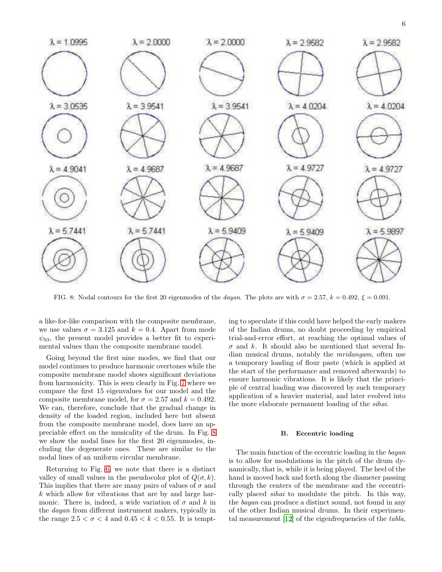

<span id="page-5-0"></span>FIG. 8: Nodal contours for the first 20 eigenmodes of the dayan. The plots are with  $\sigma = 2.57$ ,  $k = 0.492$ ,  $\xi = 0.091$ .

a like-for-like comparison with the composite membrane, we use values  $\sigma = 3.125$  and  $k = 0.4$ . Apart from mode  $\psi_{03}$ , the present model provides a better fit to experimental values than the composite membrane model.

Going beyond the first nine modes, we find that our model continues to produce harmonic overtones while the composite membrane model shows significant deviations from harmonicity. This is seen clearly in Fig. [7](#page-4-2) where we compare the first 15 eigenvalues for our model and the composite membrane model, for  $\sigma = 2.57$  and  $k = 0.492$ . We can, therefore, conclude that the gradual change in density of the loaded region, included here but absent from the composite membrane model, does have an appreciable effect on the musicality of the drum. In Fig. [8](#page-5-0) we show the nodal lines for the first 20 eigenmodes, including the degenerate ones. These are similar to the nodal lines of an uniform circular membrane.

Returning to Fig. [6,](#page-4-0) we note that there is a distinct valley of small values in the pseudocolor plot of  $Q(\sigma, k)$ . This implies that there are many pairs of values of  $\sigma$  and k which allow for vibrations that are by and large harmonic. There is, indeed, a wide variation of  $\sigma$  and k in the dayan from different instrument makers, typically in the range  $2.5 < \sigma < 4$  and  $0.45 < k < 0.55$ . It is tempting to speculate if this could have helped the early makers of the Indian drums, no doubt proceeding by empirical trial-and-error effort, at reaching the optimal values of  $\sigma$  and k. It should also be mentioned that several Indian musical drums, notably the mridangam, often use a temporary loading of flour paste (which is applied at the start of the performance and removed afterwards) to ensure harmonic vibrations. It is likely that the principle of central loading was discovered by such temporary application of a heavier material, and later evolved into the more elaborate permanent loading of the sihai.

# B. Eccentric loading

The main function of the eccentric loading in the bayan is to allow for modulations in the pitch of the drum dynamically, that is, while it is being played. The heel of the hand is moved back and forth along the diameter passing through the centers of the membrane and the eccentrically placed sihai to modulate the pitch. In this way, the bayan can produce a distinct sound, not found in any of the other Indian musical drums. In their experimental measurement [\[12\]](#page-9-11) of the eigenfrequencies of the tabla,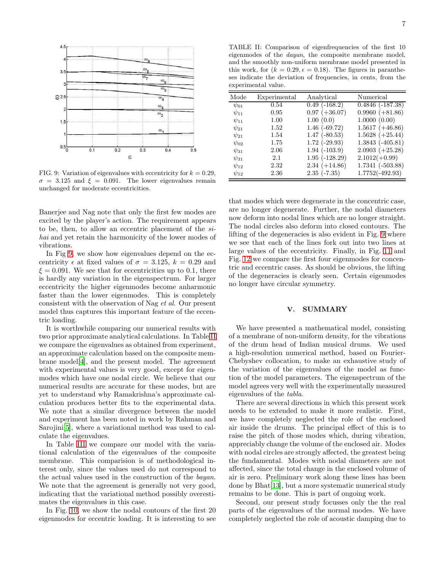

<span id="page-6-0"></span>FIG. 9: Variation of eigenvalues with eccentricity for  $k = 0.29$ ,  $\sigma = 3.125$  and  $\xi = 0.091$ . The lower eigenvalues remain unchanged for moderate eccentricities.

Banerjee and Nag note that only the first few modes are excited by the player's action. The requirement appears to be, then, to allow an eccentric placement of the sihai and yet retain the harmonicity of the lower modes of vibrations.

In Fig [9,](#page-6-0) we show how eigenvalues depend on the eccentricity  $\epsilon$  at fixed values of  $\sigma = 3.125, k = 0.29$  and  $\xi = 0.091$ . We see that for eccentricities up to 0.1, there is hardly any variation in the eigenspectrum. For larger eccentricity the higher eigenmodes become anharmonic faster than the lower eigenmodes. This is completely consistent with the observation of Nag et al. Our present model thus captures this important feature of the eccentric loading.

It is worthwhile comparing our numerical results with two prior approximate analytical calculations. In Table [II](#page-6-1) we compare the eigenvalues as obtained from experiment, an approximate calculation based on the composite membrane model[\[4](#page-9-3)], and the present model. The agreement with experimental values is very good, except for eigenmodes which have one nodal circle. We believe that our numerical results are accurate for these modes, but are yet to understand why Ramakrishna's approximate calculation produces better fits to the experimental data. We note that a similar divergence between the model and experiment has been noted in work by Rahman and Sarojini[\[5\]](#page-9-4), where a variational method was used to calculate the eigenvalues.

In Table [III](#page-7-0) we compare our model with the variational calculation of the eigenvalues of the composite membrane. This comparision is of methodological interest only, since the values used do not correspond to the actual values used in the construction of the bayan. We note that the agreement is generally not very good, indicating that the variational method possibly overestimates the eigenvalues in this case.

In Fig. [10,](#page-7-1) we show the nodal contours of the first 20 eigenmodes for eccentric loading. It is interesting to see

<span id="page-6-1"></span>TABLE II: Comparison of eigenfrequencies of the first 10 eigenmodes of the dayan, the composite membrane model, and the smoothly non-uniform membrane model presented in this work, for  $(k = 0.29, \epsilon = 0.18)$ . The figures in parantheses indicate the deviation of frequencies, in cents, from the experimental value.

| Mode        | Experimental | Analytical           | Numerical            |
|-------------|--------------|----------------------|----------------------|
| $\psi_{01}$ | 0.54         | $0.49(-168.2)$       | $0.4846$ $(-187.38)$ |
| $\psi_{11}$ | 0.95         | $0.97 (+36.07)$      | $0.9960 (+81.86)$    |
| $\psi_{11}$ | 1.00         | 1.00(0.0)            | 1.0000(0.00)         |
| $\psi_{21}$ | 1.52         | $1.46(-69.72)$       | $1.5617 (+46.86)$    |
| $\psi_{21}$ | 1.54         | $1.47$ ( $-80.53$ )  | $1.5628 (+25.44)$    |
| $\psi_{02}$ | 1.75         | $1.72$ (-29.93)      | $1.3843$ $(-405.81)$ |
| $\psi_{31}$ | 2.06         | $1.94$ ( $-103.9$ )  | $2.0903 (+25.28)$    |
| $\psi_{31}$ | 2.1          | $1.95$ ( $-128.29$ ) | $2.1012(+0.99)$      |
| $\psi_{12}$ | 2.32         | $2.34 (+14.86)$      | $1.7341 (-503.88)$   |
| $\psi_{12}$ | 2.36         | $2.35(-7.35)$        | $1.7752(-492.93)$    |

that modes which were degenerate in the concentric case, are no longer degenerate. Further, the nodal diameters now deform into nodal lines which are no longer straight. The nodal circles also deform into closed contours. The lifting of the degeneracies is also evident in Fig. [9](#page-6-0) where we see that each of the lines fork out into two lines at large values of the eccentricity. Finally, in Fig. [11](#page-8-0) and Fig. [12](#page-8-1) we compare the first four eigenmodes for concentric and eccentric cases. As should be obvious, the lifting of the degeneracies is clearly seen. Certain eigenmodes no longer have circular symmetry.

# V. SUMMARY

We have presented a mathematical model, consisting of a membrane of non-uniform density, for the vibrations of the drum head of Indian musical drums. We used a high-resolution numerical method, based on Fourier-Chebyshev collocation, to make an exhaustive study of the variation of the eigenvalues of the model as function of the model parameters. The eigenspectrum of the model agrees very well with the experimentally measured eigenvalues of the tabla.

There are several directions in which this present work needs to be extended to make it more realistic. First, we have completely neglected the role of the enclosed air inside the drums. The principal effect of this is to raise the pitch of those modes which, during vibration, appreciably change the volume of the enclosed air. Modes with nodal circles are strongly affected, the greatest being the fundamental. Modes with nodal diameters are not affected, since the total change in the enclosed volume of air is zero. Preliminary work along these lines has been done by Bhat[\[13](#page-9-12)], but a more systematic numerical study remains to be done. This is part of ongoing work.

Second, our present study focusses only the the real parts of the eigenvalues of the normal modes. We have completely neglected the role of acoustic damping due to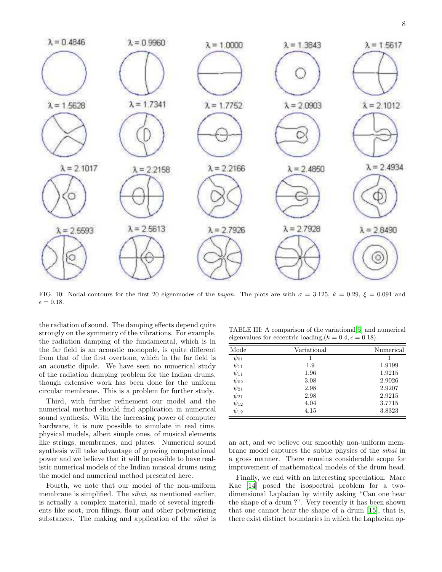

<span id="page-7-1"></span>FIG. 10: Nodal contours for the first 20 eigenmodes of the bayan. The plots are with  $\sigma = 3.125$ ,  $k = 0.29$ ,  $\xi = 0.091$  and  $\epsilon = 0.18.$ 

the radiation of sound. The damping effects depend quite strongly on the symmetry of the vibrations. For example, the radiation damping of the fundamental, which is in the far field is an acoustic monopole, is quite different from that of the first overtone, which in the far field is an acoustic dipole. We have seen no numerical study of the radiation damping problem for the Indian drums, though extensive work has been done for the uniform circular membrane. This is a problem for further study.

Third, with further refinement our model and the numerical method should find application in numerical sound synthesis. With the increasing power of computer hardware, it is now possible to simulate in real time, physical models, albeit simple ones, of musical elements like strings, membranes, and plates. Numerical sound synthesis will take advantage of growing computational power and we believe that it will be possible to have realistic numerical models of the Indian musical drums using the model and numerical method presented here.

Fourth, we note that our model of the non-uniform membrane is simplified. The *sihai*, as mentioned earlier, is actually a complex material, made of several ingredients like soot, iron filings, flour and other polymerising substances. The making and application of the *sihai* is

<span id="page-7-0"></span>TABLE III: A comparison of the variational[\[5](#page-9-4)] and numerical eigenvalues for eccentric loading,  $(k = 0.4, \epsilon = 0.18)$ .

| Mode        | Variational | Numerical |
|-------------|-------------|-----------|
| $\psi_{01}$ |             |           |
| $\psi_{11}$ | 1.9         | 1.9199    |
| $\psi_{11}$ | 1.96        | 1.9215    |
| $\psi_{02}$ | 3.08        | 2.9026    |
| $\psi_{21}$ | 2.98        | 2.9207    |
| $\psi_{21}$ | 2.98        | 2.9215    |
| $\psi_{12}$ | 4.04        | 3.7715    |
| $\psi_{12}$ | 4.15        | 3.8323    |

an art, and we believe our smoothly non-uniform membrane model captures the subtle physics of the sihai in a gross manner. There remains considerable scope for improvement of mathematical models of the drum head.

Finally, we end with an interesting speculation. Marc Kac [\[14\]](#page-9-13) posed the isospectral problem for a twodimensional Laplacian by wittily asking "Can one hear the shape of a drum ?". Very recently it has been shown that one cannot hear the shape of a drum [\[15\]](#page-9-14), that is, there exist distinct boundaries in which the Laplacian op-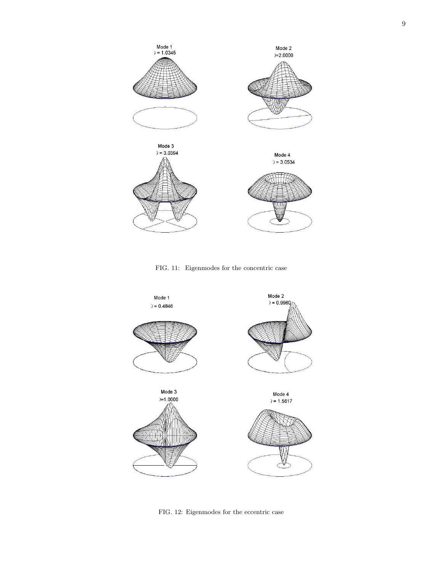

<span id="page-8-0"></span>FIG. 11: Eigenmodes for the concentric case



<span id="page-8-1"></span>FIG. 12: Eigenmodes for the eccentric case